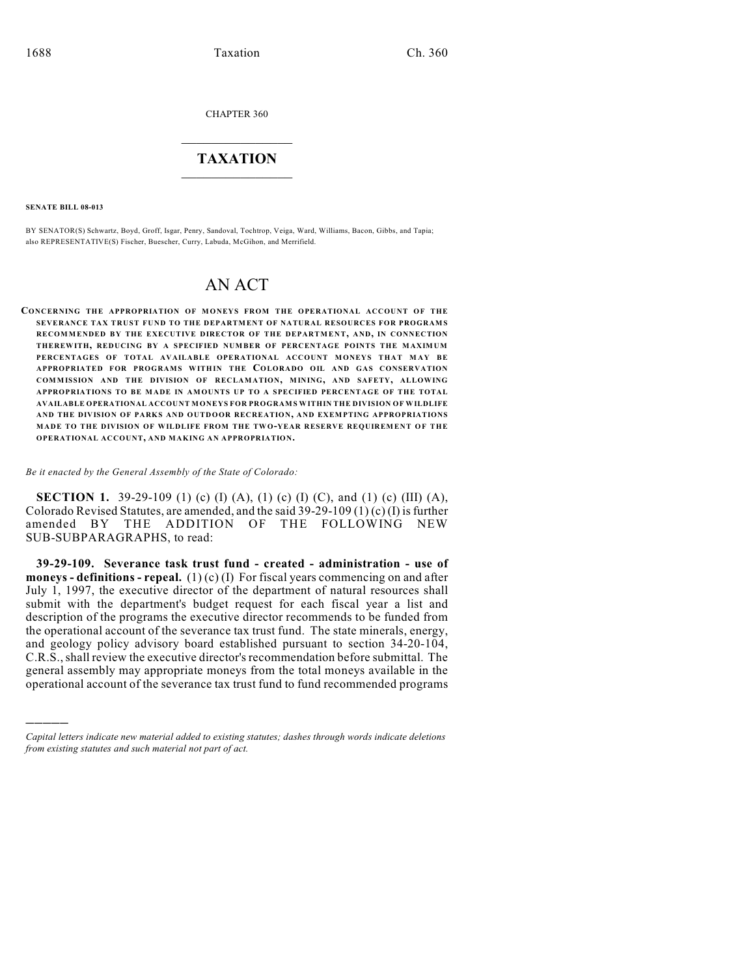CHAPTER 360

## $\overline{\phantom{a}}$  . The set of the set of the set of the set of the set of the set of the set of the set of the set of the set of the set of the set of the set of the set of the set of the set of the set of the set of the set o **TAXATION**  $\_$

**SENATE BILL 08-013**

)))))

BY SENATOR(S) Schwartz, Boyd, Groff, Isgar, Penry, Sandoval, Tochtrop, Veiga, Ward, Williams, Bacon, Gibbs, and Tapia; also REPRESENTATIVE(S) Fischer, Buescher, Curry, Labuda, McGihon, and Merrifield.

# AN ACT

**CONCERNING THE APPROPRIATION OF MONEYS FROM THE OPERATIONAL ACCOUNT OF THE SEVERANCE TAX TRUST FUND TO THE DEPARTMENT OF NATURAL RESOURCES FOR PROGRAMS** RECOMMENDED BY THE EXECUTIVE DIRECTOR OF THE DEPARTMENT, AND, IN CONNECTION **THEREWITH, REDUCING BY A SPECIFIED NUMBER OF PERCENTAGE POINTS THE MAXIMUM** PERCENTAGES OF TOTAL AVAILABLE OPERATIONAL ACCOUNT MONEYS THAT MAY BE **APPROPRIATED FOR PROGRAMS WITHIN THE COLORADO OIL AND GAS CONSERVATION COMMISSION AND THE DIVISION OF RECLAMATION, MINING, AND SAFETY, ALLOWING APPROPRIATIONS TO BE M ADE IN AMOUNTS UP TO A SPECIFIED PERCENTAGE OF THE TOTAL AVAILABLE OPERATIONAL ACCOUNT MONEYS FOR PROGRAMS WITHIN THE DIVISION OF WILDLIFE AND THE DIVISION OF PARKS AND OUTDOOR RECREATION, AND EXEMPTING APPROPRIATIONS M ADE TO THE DIVISION OF WILDLIFE FROM THE TW O-YEAR RESERVE REQUIREMEN T OF TH E OPERATIONAL ACCOUNT, AND MAKING AN APPROPRIATION.**

*Be it enacted by the General Assembly of the State of Colorado:*

**SECTION 1.** 39-29-109 (1) (c) (I) (A), (1) (c) (I) (C), and (1) (c) (III) (A), Colorado Revised Statutes, are amended, and the said 39-29-109 (1) (c) (I) is further amended BY THE ADDITION OF THE FOLLOWING NEW SUB-SUBPARAGRAPHS, to read:

**39-29-109. Severance task trust fund - created - administration - use of moneys - definitions - repeal.** (1) (c) (I) For fiscal years commencing on and after July 1, 1997, the executive director of the department of natural resources shall submit with the department's budget request for each fiscal year a list and description of the programs the executive director recommends to be funded from the operational account of the severance tax trust fund. The state minerals, energy, and geology policy advisory board established pursuant to section 34-20-104, C.R.S., shall review the executive director's recommendation before submittal. The general assembly may appropriate moneys from the total moneys available in the operational account of the severance tax trust fund to fund recommended programs

*Capital letters indicate new material added to existing statutes; dashes through words indicate deletions from existing statutes and such material not part of act.*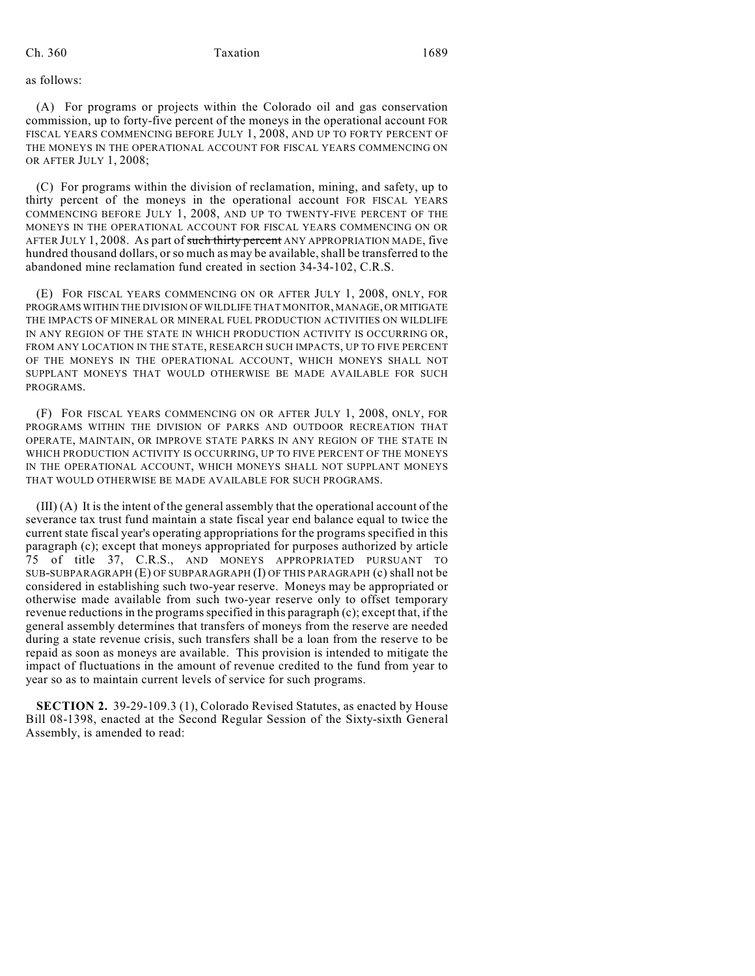as follows:

(A) For programs or projects within the Colorado oil and gas conservation commission, up to forty-five percent of the moneys in the operational account FOR FISCAL YEARS COMMENCING BEFORE JULY 1, 2008, AND UP TO FORTY PERCENT OF THE MONEYS IN THE OPERATIONAL ACCOUNT FOR FISCAL YEARS COMMENCING ON OR AFTER JULY 1, 2008;

(C) For programs within the division of reclamation, mining, and safety, up to thirty percent of the moneys in the operational account FOR FISCAL YEARS COMMENCING BEFORE JULY 1, 2008, AND UP TO TWENTY-FIVE PERCENT OF THE MONEYS IN THE OPERATIONAL ACCOUNT FOR FISCAL YEARS COMMENCING ON OR AFTER JULY 1, 2008. As part of such thirty percent ANY APPROPRIATION MADE, five hundred thousand dollars, or so much as may be available, shall be transferred to the abandoned mine reclamation fund created in section 34-34-102, C.R.S.

(E) FOR FISCAL YEARS COMMENCING ON OR AFTER JULY 1, 2008, ONLY, FOR PROGRAMS WITHIN THE DIVISION OF WILDLIFE THAT MONITOR, MANAGE, OR MITIGATE THE IMPACTS OF MINERAL OR MINERAL FUEL PRODUCTION ACTIVITIES ON WILDLIFE IN ANY REGION OF THE STATE IN WHICH PRODUCTION ACTIVITY IS OCCURRING OR, FROM ANY LOCATION IN THE STATE, RESEARCH SUCH IMPACTS, UP TO FIVE PERCENT OF THE MONEYS IN THE OPERATIONAL ACCOUNT, WHICH MONEYS SHALL NOT SUPPLANT MONEYS THAT WOULD OTHERWISE BE MADE AVAILABLE FOR SUCH PROGRAMS.

(F) FOR FISCAL YEARS COMMENCING ON OR AFTER JULY 1, 2008, ONLY, FOR PROGRAMS WITHIN THE DIVISION OF PARKS AND OUTDOOR RECREATION THAT OPERATE, MAINTAIN, OR IMPROVE STATE PARKS IN ANY REGION OF THE STATE IN WHICH PRODUCTION ACTIVITY IS OCCURRING, UP TO FIVE PERCENT OF THE MONEYS IN THE OPERATIONAL ACCOUNT, WHICH MONEYS SHALL NOT SUPPLANT MONEYS THAT WOULD OTHERWISE BE MADE AVAILABLE FOR SUCH PROGRAMS.

(III) (A) It is the intent of the general assembly that the operational account of the severance tax trust fund maintain a state fiscal year end balance equal to twice the current state fiscal year's operating appropriations for the programs specified in this paragraph (c); except that moneys appropriated for purposes authorized by article 75 of title 37, C.R.S., AND MONEYS APPROPRIATED PURSUANT TO SUB-SUBPARAGRAPH (E) OF SUBPARAGRAPH (I) OF THIS PARAGRAPH (c) shall not be considered in establishing such two-year reserve. Moneys may be appropriated or otherwise made available from such two-year reserve only to offset temporary revenue reductions in the programs specified in this paragraph (c); except that, if the general assembly determines that transfers of moneys from the reserve are needed during a state revenue crisis, such transfers shall be a loan from the reserve to be repaid as soon as moneys are available. This provision is intended to mitigate the impact of fluctuations in the amount of revenue credited to the fund from year to year so as to maintain current levels of service for such programs.

**SECTION 2.** 39-29-109.3 (1), Colorado Revised Statutes, as enacted by House Bill 08-1398, enacted at the Second Regular Session of the Sixty-sixth General Assembly, is amended to read: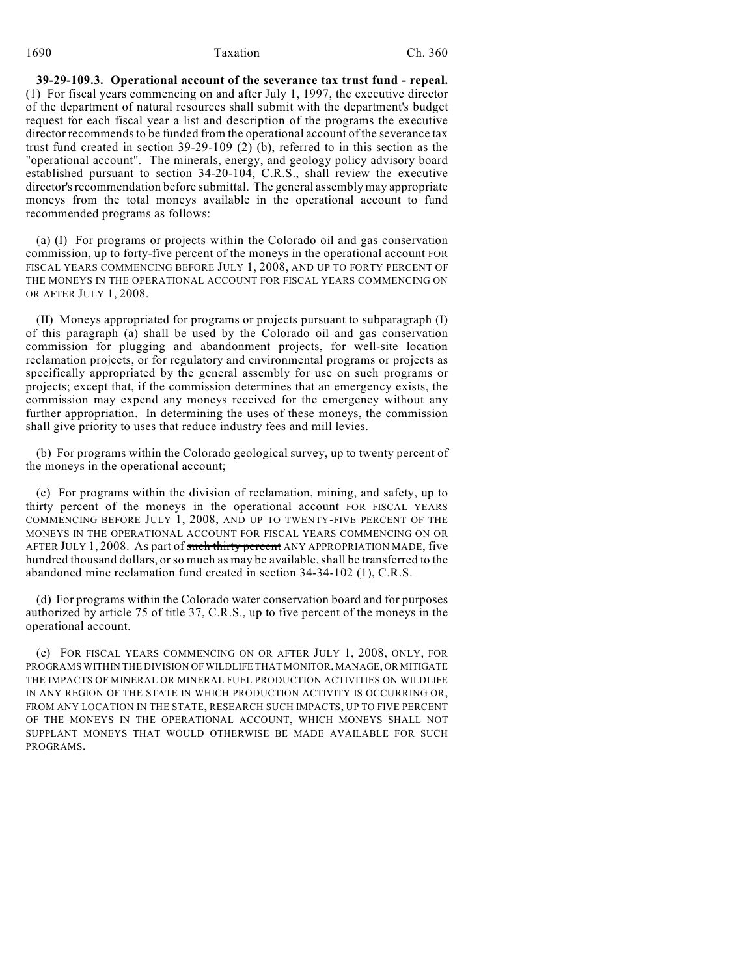### 1690 Taxation Ch. 360

**39-29-109.3. Operational account of the severance tax trust fund - repeal.** (1) For fiscal years commencing on and after July 1, 1997, the executive director of the department of natural resources shall submit with the department's budget request for each fiscal year a list and description of the programs the executive director recommends to be funded from the operational account of the severance tax trust fund created in section 39-29-109 (2) (b), referred to in this section as the "operational account". The minerals, energy, and geology policy advisory board established pursuant to section 34-20-104, C.R.S., shall review the executive director's recommendation before submittal. The general assembly may appropriate moneys from the total moneys available in the operational account to fund recommended programs as follows:

(a) (I) For programs or projects within the Colorado oil and gas conservation commission, up to forty-five percent of the moneys in the operational account FOR FISCAL YEARS COMMENCING BEFORE JULY 1, 2008, AND UP TO FORTY PERCENT OF THE MONEYS IN THE OPERATIONAL ACCOUNT FOR FISCAL YEARS COMMENCING ON OR AFTER JULY 1, 2008.

(II) Moneys appropriated for programs or projects pursuant to subparagraph (I) of this paragraph (a) shall be used by the Colorado oil and gas conservation commission for plugging and abandonment projects, for well-site location reclamation projects, or for regulatory and environmental programs or projects as specifically appropriated by the general assembly for use on such programs or projects; except that, if the commission determines that an emergency exists, the commission may expend any moneys received for the emergency without any further appropriation. In determining the uses of these moneys, the commission shall give priority to uses that reduce industry fees and mill levies.

(b) For programs within the Colorado geological survey, up to twenty percent of the moneys in the operational account;

(c) For programs within the division of reclamation, mining, and safety, up to thirty percent of the moneys in the operational account FOR FISCAL YEARS COMMENCING BEFORE JULY 1, 2008, AND UP TO TWENTY-FIVE PERCENT OF THE MONEYS IN THE OPERATIONAL ACCOUNT FOR FISCAL YEARS COMMENCING ON OR AFTER JULY 1, 2008. As part of such thirty percent ANY APPROPRIATION MADE, five hundred thousand dollars, or so much as may be available, shall be transferred to the abandoned mine reclamation fund created in section 34-34-102 (1), C.R.S.

(d) For programs within the Colorado water conservation board and for purposes authorized by article 75 of title 37, C.R.S., up to five percent of the moneys in the operational account.

(e) FOR FISCAL YEARS COMMENCING ON OR AFTER JULY 1, 2008, ONLY, FOR PROGRAMS WITHIN THE DIVISION OF WILDLIFE THAT MONITOR, MANAGE, OR MITIGATE THE IMPACTS OF MINERAL OR MINERAL FUEL PRODUCTION ACTIVITIES ON WILDLIFE IN ANY REGION OF THE STATE IN WHICH PRODUCTION ACTIVITY IS OCCURRING OR, FROM ANY LOCATION IN THE STATE, RESEARCH SUCH IMPACTS, UP TO FIVE PERCENT OF THE MONEYS IN THE OPERATIONAL ACCOUNT, WHICH MONEYS SHALL NOT SUPPLANT MONEYS THAT WOULD OTHERWISE BE MADE AVAILABLE FOR SUCH PROGRAMS.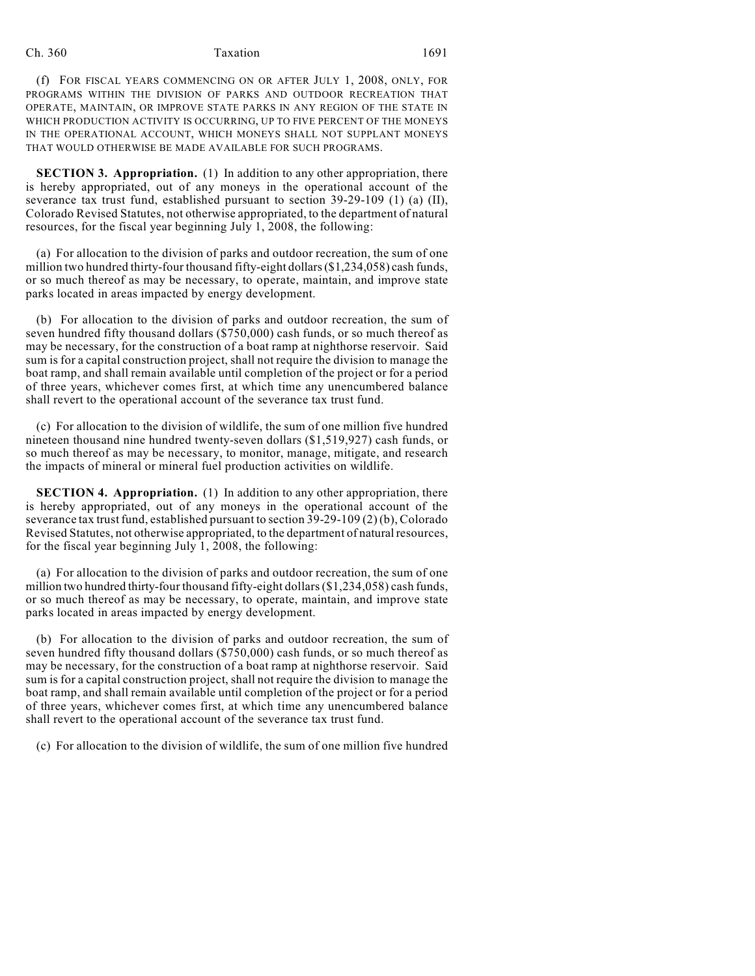### Ch. 360 Taxation 1691

(f) FOR FISCAL YEARS COMMENCING ON OR AFTER JULY 1, 2008, ONLY, FOR PROGRAMS WITHIN THE DIVISION OF PARKS AND OUTDOOR RECREATION THAT OPERATE, MAINTAIN, OR IMPROVE STATE PARKS IN ANY REGION OF THE STATE IN WHICH PRODUCTION ACTIVITY IS OCCURRING, UP TO FIVE PERCENT OF THE MONEYS IN THE OPERATIONAL ACCOUNT, WHICH MONEYS SHALL NOT SUPPLANT MONEYS THAT WOULD OTHERWISE BE MADE AVAILABLE FOR SUCH PROGRAMS.

**SECTION 3. Appropriation.** (1) In addition to any other appropriation, there is hereby appropriated, out of any moneys in the operational account of the severance tax trust fund, established pursuant to section 39-29-109 (1) (a) (II), Colorado Revised Statutes, not otherwise appropriated, to the department of natural resources, for the fiscal year beginning July 1, 2008, the following:

(a) For allocation to the division of parks and outdoor recreation, the sum of one million two hundred thirty-four thousand fifty-eight dollars (\$1,234,058) cash funds, or so much thereof as may be necessary, to operate, maintain, and improve state parks located in areas impacted by energy development.

(b) For allocation to the division of parks and outdoor recreation, the sum of seven hundred fifty thousand dollars (\$750,000) cash funds, or so much thereof as may be necessary, for the construction of a boat ramp at nighthorse reservoir. Said sum is for a capital construction project, shall not require the division to manage the boat ramp, and shall remain available until completion of the project or for a period of three years, whichever comes first, at which time any unencumbered balance shall revert to the operational account of the severance tax trust fund.

(c) For allocation to the division of wildlife, the sum of one million five hundred nineteen thousand nine hundred twenty-seven dollars (\$1,519,927) cash funds, or so much thereof as may be necessary, to monitor, manage, mitigate, and research the impacts of mineral or mineral fuel production activities on wildlife.

**SECTION 4. Appropriation.** (1) In addition to any other appropriation, there is hereby appropriated, out of any moneys in the operational account of the severance tax trust fund, established pursuant to section 39-29-109 (2) (b), Colorado Revised Statutes, not otherwise appropriated, to the department of natural resources, for the fiscal year beginning July 1, 2008, the following:

(a) For allocation to the division of parks and outdoor recreation, the sum of one million two hundred thirty-four thousand fifty-eight dollars (\$1,234,058) cash funds, or so much thereof as may be necessary, to operate, maintain, and improve state parks located in areas impacted by energy development.

(b) For allocation to the division of parks and outdoor recreation, the sum of seven hundred fifty thousand dollars (\$750,000) cash funds, or so much thereof as may be necessary, for the construction of a boat ramp at nighthorse reservoir. Said sum is for a capital construction project, shall not require the division to manage the boat ramp, and shall remain available until completion of the project or for a period of three years, whichever comes first, at which time any unencumbered balance shall revert to the operational account of the severance tax trust fund.

(c) For allocation to the division of wildlife, the sum of one million five hundred